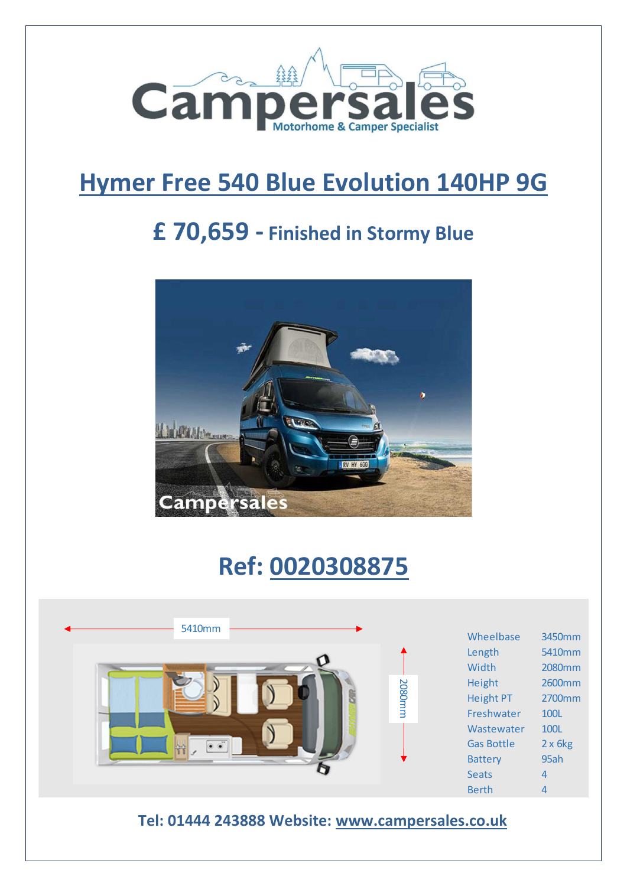

## **Hymer Free 540 Blue Evolution 140HP 9G**

## **£ 70,659 - Finished in Stormy Blue**



# **Ref: 0020308875**

| 5410mm                                           |        | Wheelbase<br>Length                                                                                                                    | 3450mm<br>5410mm                                                                             |  |  |
|--------------------------------------------------|--------|----------------------------------------------------------------------------------------------------------------------------------------|----------------------------------------------------------------------------------------------|--|--|
|                                                  | 2080mm | Width<br>Height<br><b>Height PT</b><br>Freshwater<br>Wastewater<br><b>Gas Bottle</b><br><b>Battery</b><br><b>Seats</b><br><b>Berth</b> | 2080mm<br>2600mm<br>2700mm<br>100L<br>100L<br>$2 \times 6$ kg<br>95ah<br>$\overline{4}$<br>4 |  |  |
| Tel: 01444 243888 Website: www.campersales.co.uk |        |                                                                                                                                        |                                                                                              |  |  |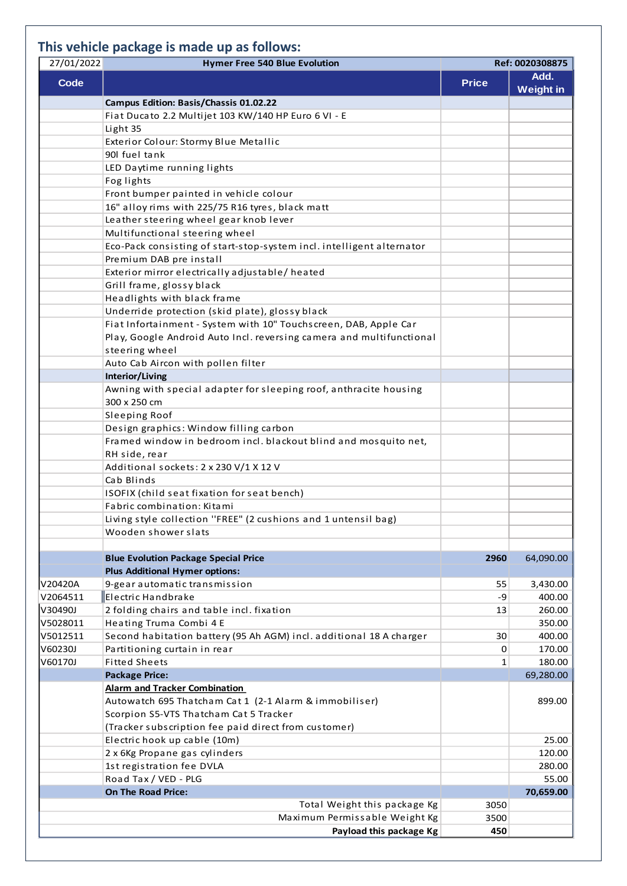### **This vehicle package is made up as follows:**

| 27/01/2022  | <b>Hymer Free 540 Blue Evolution</b><br>Ref: 0020308875               |              |                          |
|-------------|-----------------------------------------------------------------------|--------------|--------------------------|
| <b>Code</b> |                                                                       | <b>Price</b> | Add.<br><b>Weight in</b> |
|             | Campus Edition: Basis/Chassis 01.02.22                                |              |                          |
|             | Fiat Ducato 2.2 Multijet 103 KW/140 HP Euro 6 VI - E                  |              |                          |
|             | Light 35                                                              |              |                          |
|             | Exterior Colour: Stormy Blue Metallic                                 |              |                          |
|             | 90l fuel tank                                                         |              |                          |
|             | LED Daytime running lights                                            |              |                          |
|             | Fog lights                                                            |              |                          |
|             | Front bumper painted in vehicle colour                                |              |                          |
|             | 16" alloy rims with 225/75 R16 tyres, black matt                      |              |                          |
|             | Leather steering wheel gear knob lever                                |              |                          |
|             | Multifunctional steering wheel                                        |              |                          |
|             | Eco-Pack consisting of start-stop-system incl. intelligent alternator |              |                          |
|             | Premium DAB pre install                                               |              |                          |
|             | Exterior mirror electrically adjustable/heated                        |              |                          |
|             | Grill frame, glossy black                                             |              |                          |
|             | Headlights with black frame                                           |              |                          |
|             | Underride protection (skid plate), glossy black                       |              |                          |
|             | Fiat Infortainment - System with 10" Touchscreen, DAB, Apple Car      |              |                          |
|             | Play, Google Android Auto Incl. reversing camera and multifunctional  |              |                          |
|             | steering wheel                                                        |              |                          |
|             | Auto Cab Aircon with pollen filter                                    |              |                          |
|             | Interior/Living                                                       |              |                          |
|             | Awning with special adapter for sleeping roof, anthracite housing     |              |                          |
|             | 300 x 250 cm                                                          |              |                          |
|             | Sleeping Roof                                                         |              |                          |
|             | Design graphics: Window filling carbon                                |              |                          |
|             | Framed window in bedroom incl. blackout blind and mosquito net,       |              |                          |
|             | RH side, rear                                                         |              |                          |
|             | Additional sockets: 2 x 230 V/1 X 12 V                                |              |                          |
|             | Cab Blinds                                                            |              |                          |
|             |                                                                       |              |                          |
|             | ISOFIX (child seat fixation for seat bench)                           |              |                          |
|             | Fabric combination: Kitami                                            |              |                          |
|             | Living style collection "FREE" (2 cushions and 1 untensil bag)        |              |                          |
|             | Wooden shower slats                                                   |              |                          |
|             | <b>Blue Evolution Package Special Price</b>                           | 2960         | 64,090.00                |
|             | <b>Plus Additional Hymer options:</b>                                 |              |                          |
| V20420A     | 9-gear automatic transmission                                         | 55           | 3,430.00                 |
| V2064511    | Electric Handbrake                                                    | -9           | 400.00                   |
| V30490J     | 2 folding chairs and table incl. fixation                             | 13           | 260.00                   |
| V5028011    | Heating Truma Combi 4 E                                               |              | 350.00                   |
| V5012511    |                                                                       | 30           | 400.00                   |
|             | Second habitation battery (95 Ah AGM) incl. additional 18 A charger   |              |                          |
| V60230J     | Partitioning curtain in rear                                          | $\mathbf 0$  | 170.00                   |
| V60170J     | <b>Fitted Sheets</b>                                                  | 1            | 180.00                   |
|             | <b>Package Price:</b>                                                 |              | 69,280.00                |
|             | <b>Alarm and Tracker Combination</b>                                  |              |                          |
|             | Autowatch 695 Thatcham Cat 1 (2-1 Alarm & immobiliser)                |              | 899.00                   |
|             | Scorpion S5-VTS Thatcham Cat 5 Tracker                                |              |                          |
|             | (Tracker subscription fee paid direct from customer)                  |              |                          |
|             | Electric hook up cable (10m)                                          |              | 25.00                    |
|             | 2 x 6Kg Propane gas cylinders                                         |              | 120.00                   |
|             | 1st registration fee DVLA                                             |              | 280.00                   |
|             | Road Tax / VED - PLG                                                  |              | 55.00                    |
|             | <b>On The Road Price:</b>                                             |              | 70,659.00                |
|             | Total Weight this package Kg                                          | 3050         |                          |
|             | Maximum Permissable Weight Kg                                         | 3500         |                          |
|             | Payload this package Kg                                               | 450          |                          |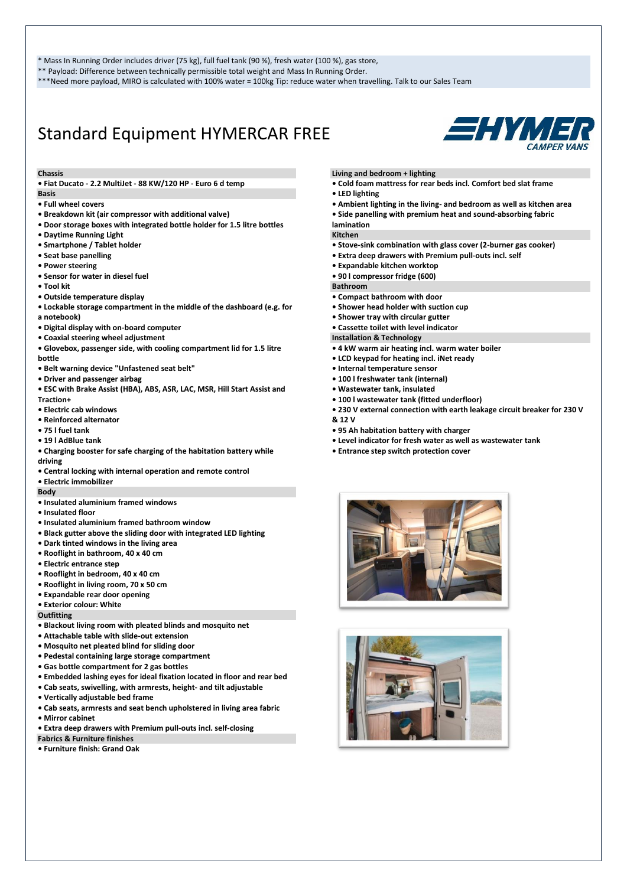\* Mass In Running Order includes driver (75 kg), full fuel tank (90 %), fresh water (100 %), gas store,

\*\* Payload: Difference between technically permissible total weight and Mass In Running Order.

\*\*\*Need more payload, MIRO is calculated with 100% water = 100kg Tip: reduce water when travelling. Talk to our Sales Team

### Standard Equipment HYMERCAR FREE



### **Chassis**

**• Fiat Ducato - 2.2 MultiJet - 88 KW/120 HP - Euro 6 d temp**

### **Basis**

- **Full wheel covers**
- **Breakdown kit (air compressor with additional valve)**
- **Door storage boxes with integrated bottle holder for 1.5 litre bottles**
- **Daytime Running Light**
- **Smartphone / Tablet holder**
- **Seat base panelling**
- **Power steering**
- **Sensor for water in diesel fuel**
- **Tool kit**
- **Outside temperature display**
- **Lockable storage compartment in the middle of the dashboard (e.g. for a notebook)**
- **Digital display with on-board computer**
- **Coaxial steering wheel adjustment**
- **Glovebox, passenger side, with cooling compartment lid for 1.5 litre bottle**
- **Belt warning device "Unfastened seat belt"**
- **Driver and passenger airbag**
- **ESC with Brake Assist (HBA), ABS, ASR, LAC, MSR, Hill Start Assist and Traction+**
- **Electric cab windows**
- **Reinforced alternator**
- **75 l fuel tank**
- **19 l AdBlue tank**
- **Charging booster for safe charging of the habitation battery while driving**
- **Central locking with internal operation and remote control**
- **Electric immobilizer**
- **Body**
- **Insulated aluminium framed windows**
- **Insulated floor**
- **Insulated aluminium framed bathroom window**
- **Black gutter above the sliding door with integrated LED lighting**
- **Dark tinted windows in the living area**
- **Rooflight in bathroom, 40 x 40 cm**
- **Electric entrance step**
- **Rooflight in bedroom, 40 x 40 cm**
- **Rooflight in living room, 70 x 50 cm**
- **Expandable rear door opening**
- **Exterior colour: White**

**Outfitting**

- **Blackout living room with pleated blinds and mosquito net**
- **Attachable table with slide-out extension**
- **Mosquito net pleated blind for sliding door**
- **Pedestal containing large storage compartment**
- **Gas bottle compartment for 2 gas bottles**
- **Embedded lashing eyes for ideal fixation located in floor and rear bed**
- **Cab seats, swivelling, with armrests, height- and tilt adjustable**
- **Vertically adjustable bed frame**
- **Cab seats, armrests and seat bench upholstered in living area fabric**
- **Mirror cabinet**
- **Extra deep drawers with Premium pull-outs incl. self-closing**
- **Fabrics & Furniture finishes**
- **Furniture finish: Grand Oak**

### **Living and bedroom + lighting**

- **Cold foam mattress for rear beds incl. Comfort bed slat frame**
- **LED lighting**
- **Ambient lighting in the living- and bedroom as well as kitchen area**
- **Side panelling with premium heat and sound-absorbing fabric**

#### **lamination Kitchen**

- **Stove-sink combination with glass cover (2-burner gas cooker)**
- **Extra deep drawers with Premium pull-outs incl. self**
- **Expandable kitchen worktop**
- **90 l compressor fridge (600)**

**Bathroom**

- **Compact bathroom with door**
- **Shower head holder with suction cup**
- **Shower tray with circular gutter**
- **Cassette toilet with level indicator**

**Installation & Technology**

- **4 kW warm air heating incl. warm water boiler**
- **LCD keypad for heating incl. iNet ready**
- **Internal temperature sensor**
- **100 l freshwater tank (internal)**
- **Wastewater tank, insulated**
- **100 l wastewater tank (fitted underfloor)**
- **230 V external connection with earth leakage circuit breaker for 230 V**
- **& 12 V**
- **95 Ah habitation battery with charger**
- **Level indicator for fresh water as well as wastewater tank**
- **Entrance step switch protection cover**